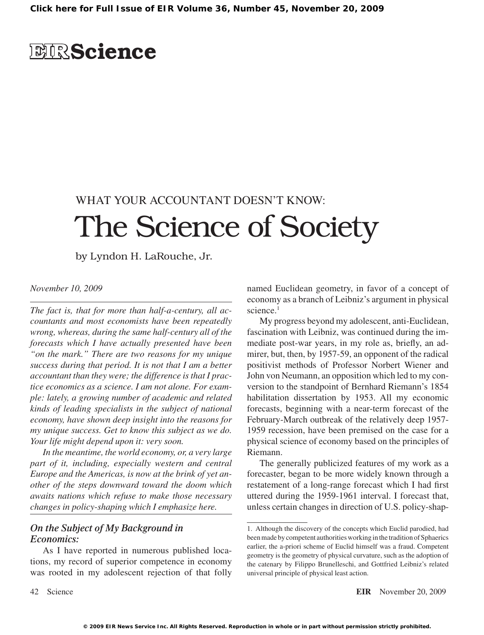## **EIRScience**

# WHAT YOUR ACCOUNTANT DOESN'T KNOW: The Science of Society

by Lyndon H. LaRouche, Jr.

#### *November 10, 2009*

*The fact is, that for more than half-a-century, all accountants and most economists have been repeatedly wrong, whereas, during the same half-century all of the forecasts which I have actually presented have been "on the mark." There are two reasons for my unique success during that period. It is not that I am a better accountant than they were; the difference is that I practice economics as a science. I am not alone. For example: lately, a growing number of academic and related kinds of leading specialists in the subject of national economy, have shown deep insight into the reasons for my unique success. Get to know this subject as we do. Your life might depend upon it: very soon.*

*In the meantime, the world economy, or, a very large part of it, including, especially western and central Europe and the Americas, is now at the brink of yet another of the steps downward toward the doom which awaits nations which refuse to make those necessary changes in policy-shaping which I emphasize here.*

#### *On the Subject of My Background in Economics:*

As I have reported in numerous published locations, my record of superior competence in economy was rooted in my adolescent rejection of that folly

named Euclidean geometry, in favor of a concept of economy as a branch of Leibniz's argument in physical science<sup>1</sup>

My progress beyond my adolescent, anti-Euclidean, fascination with Leibniz, was continued during the immediate post-war years, in my role as, briefly, an admirer, but, then, by 1957-59, an opponent of the radical positivist methods of Professor Norbert Wiener and John von Neumann, an opposition which led to my conversion to the standpoint of Bernhard Riemann's 1854 habilitation dissertation by 1953. All my economic forecasts, beginning with a near-term forecast of the February-March outbreak of the relatively deep 1957- 1959 recession, have been premised on the case for a physical science of economy based on the principles of Riemann.

The generally publicized features of my work as a forecaster, began to be more widely known through a restatement of a long-range forecast which I had first uttered during the 1959-1961 interval. I forecast that, unless certain changes in direction of U.S. policy-shap-

<sup>.</sup> Although the discovery of the concepts which Euclid parodied, had been made by competent authorities working in the tradition of Sphaerics earlier, the a-priori scheme of Euclid himself was a fraud. Competent geometry is the geometry of physical curvature, such as the adoption of the catenary by Filippo Brunelleschi, and Gottfried Leibniz's related universal principle of physical least action.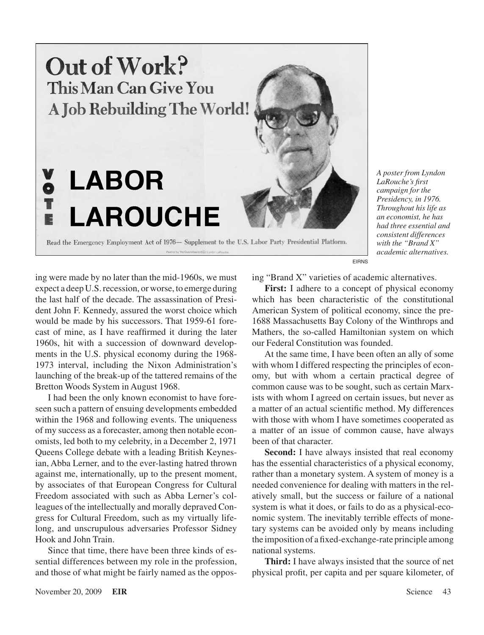

*A poster from Lyndon LaRouche's first campaign for the Presidency, in 1976. Throughout his life as an economist, he has had three essential and consistent differences with the "Brand X" academic alternatives.*

EIRNS

ing were made by no later than the mid-1960s, we must expect a deep U.S.recession, or worse, to emerge during the last half of the decade. The assassination of President John F. Kennedy, assured the worst choice which would be made by his successors. That 1959-61 forecast of mine, as I have reaffirmed it during the later 1960s, hit with a succession of downward developments in the U.S. physical economy during the 1968- 1973 interval, including the Nixon Administration's launching of the break-up of the tattered remains of the Bretton Woods System in August 1968.

I had been the only known economist to have foreseen such a pattern of ensuing developments embedded within the 1968 and following events. The uniqueness of my success as a forecaster, among then notable economists, led both to my celebrity, in a December 2, 1971 Queens College debate with a leading British Keynesian, Abba Lerner, and to the ever-lasting hatred thrown against me, internationally, up to the present moment, by associates of that European Congress for Cultural Freedom associated with such as Abba Lerner's colleagues of the intellectually and morally depraved Congress for Cultural Freedom, such as my virtually lifelong, and unscrupulous adversaries Professor Sidney Hook and John Train.

Since that time, there have been three kinds of essential differences between my role in the profession, and those of what might be fairly named as the opposing "Brand X" varieties of academic alternatives.

**First:** I adhere to a concept of physical economy which has been characteristic of the constitutional American System of political economy, since the pre- 1688 Massachusetts Bay Colony of the Winthrops and Mathers, the so-called Hamiltonian system on which our Federal Constitution was founded.

At the same time, I have been often an ally of some with whom I differed respecting the principles of economy, but with whom a certain practical degree of common cause was to be sought, such as certain Marxists with whom I agreed on certain issues, but never as a matter of an actual scientific method. My differences with those with whom I have sometimes cooperated as a matter of an issue of common cause, have always been of that character.

**Second:** I have always insisted that real economy has the essential characteristics of a physical economy, rather than a monetary system. A system of money is a needed convenience for dealing with matters in the relatively small, but the success or failure of a national system is what it does, or fails to do as a physical-economic system. The inevitably terrible effects of monetary systems can be avoided only by means including the imposition of afixed-exchange-rate principle among national systems.

**Third:** I have always insisted that the source of net physical profit, per capita and per square kilometer, of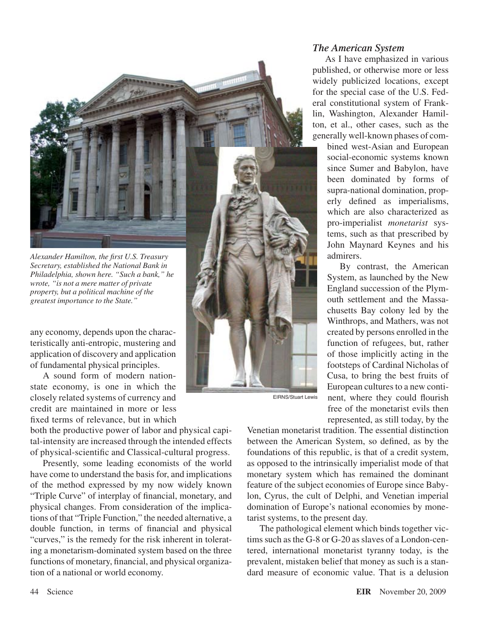

*Secretary, established the National Bank in Philadelphia, shown here. "Such a bank," he wrote, "is not a mere matter of private property, but a political machine of the greatest importance to the State."*

any economy, depends upon the characteristically anti-entropic, mustering and application of discovery and application of fundamental physical principles.

A sound form of modern nationstate economy, is one in which the closely related systems of currency and credit are maintained in more or less fixed terms of relevance, but in which

both the productive power of labor and physical capital-intensity are increased through the intended effects of physical-scientific and Classical-cultural progress.

Presently, some leading economists of the world have come to understand the basis for, and implications of the method expressed by my now widely known "Triple Curve" of interplay of financial, monetary, and physical changes. From consideration of the implications of that "Triple Function," the needed alternative, a double function, in terms of financial and physical "curves," is the remedy for the risk inherent in tolerating a monetarism-dominated system based on the three functions of monetary, financial, and physical organization of a national or world economy.

#### *The American System*

As I have emphasized in various published, or otherwise more or less widely publicized locations, except for the special case of the U.S. Federal constitutional system of Franklin, Washington, Alexander Hamilton, et al., other cases, such as the generally well-known phases of com-

bined west-Asian and European social-economic systems known since Sumer and Babylon, have been dominated by forms of supra-national domination, properly defined as imperialisms, which are also characterized as pro-imperialist *monetarist* systems, such as that prescribed by John Maynard Keynes and his admirers.

By contrast, the American System, as launched by the New England succession of the Plymouth settlement and the Massachusetts Bay colony led by the Winthrops, and Mathers, was not created by persons enrolled in the function of refugees, but, rather of those implicitly acting in the footsteps of Cardinal Nicholas of Cusa, to bring the best fruits of European cultures to a new continent, where they could flourish free of the monetarist evils then represented, as still today, by the

Venetian monetarist tradition. The essential distinction between the American System, so defined, as by the foundations of this republic, is that of a credit system, as opposed to the intrinsically imperialist mode of that monetary system which has remained the dominant feature of the subject economies of Europe since Babylon, Cyrus, the cult of Delphi, and Venetian imperial domination of Europe's national economies by monetarist systems, to the present day.

EIRNS/Stuart Lewis

The pathological element which binds together victims such as the  $G-8$  or  $G-20$  as slaves of a London-centered, international monetarist tyranny today, is the prevalent, mistaken belief that money as such is a standard measure of economic value. That is a delusion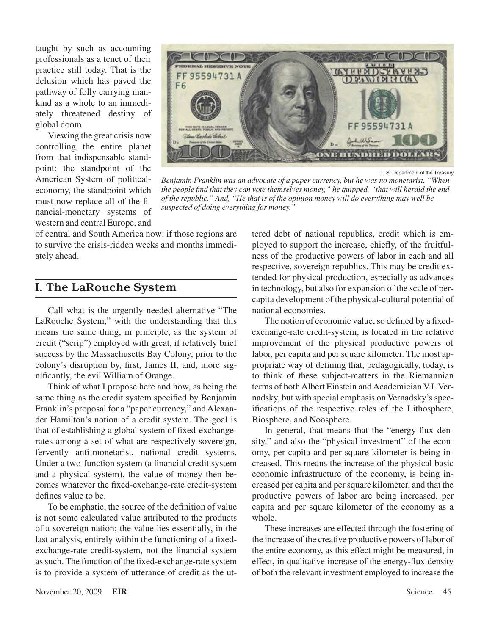taught by such as accounting professionals as a tenet of their practice still today. That is the delusion which has paved the pathway of folly carrying mankind as a whole to an immediately threatened destiny of global doom.

Viewing the great crisis now controlling the entire planet from that indispensable standpoint: the standpoint of the American System of politicaleconomy, the standpoint which must now replace all of the financial-monetary systems of western and central Europe, and



U.S. Department of the Treasury

*Benjamin Franklin was an advocate of a paper currency, but he was no monetarist. "When the people find that they can vote themselves money," he quipped, "that will herald the end of the republic." And, "He that is of the opinion money will do everything may well be suspected of doing everything for money."*

of central and South America now: if those regions are to survive the crisis-ridden weeks and months immediately ahead.

## I. The LaRouche System

Call what is the urgently needed alternative "The LaRouche System," with the understanding that this means the same thing, in principle, as the system of credit ("scrip") employed with great, if relatively brief success by the Massachusetts Bay Colony, prior to the colony's disruption by, first, James II, and, more significantly, the evil William of Orange.

Think of what I propose here and now, as being the same thing as the credit system specified by Benjamin Franklin's proposal for a "paper currency," and Alexander Hamilton's notion of a credit system. The goal is that of establishing a global system of fixed-exchangerates among a set of what are respectively sovereign, fervently anti-monetarist, national credit systems. Under a two-function system (a financial credit system and a physical system), the value of money then becomes whatever the fixed-exchange-rate credit-system defines value to be.

To be emphatic, the source of the definition of value is not some calculated value attributed to the products of a sovereign nation; the value lies essentially, in the last analysis, entirely within the functioning of a fixedexchange-rate credit-system, not the financial system assuch. The function of the fixed-exchange-rate system is to provide a system of utterance of credit as the uttered debt of national republics, credit which is employed to support the increase, chiefly, of the fruitfulness of the productive powers of labor in each and all respective, sovereign republics. This may be credit extended for physical production, especially as advances in technology, but also for expansion of the scale of percapita development of the physical-cultural potential of national economies.

The notion of economic value, so defined by a fixedexchange-rate credit-system, is located in the relative improvement of the physical productive powers of labor, per capita and per square kilometer. The most appropriate way of defining that, pedagogically, today, is to think of these subject-matters in the Riemannian terms of both Albert Einstein and Academician V.I. Vernadsky, but with special emphasis on Vernadsky's specifications of the respective roles of the Lithosphere, Biosphere, and Noösphere.

In general, that means that the "energy-flux density," and also the "physical investment" of the economy, per capita and per square kilometer is being increased. This means the increase of the physical basic economic infrastructure of the economy, is being increased per capita and persquare kilometer, and that the productive powers of labor are being increased, per capita and per square kilometer of the economy as a whole.

These increases are effected through the fostering of the increase of the creative productive powers of labor of the entire economy, as this effect might be measured, in effect, in qualitative increase of the energy-flux density of both the relevant investment employed to increase the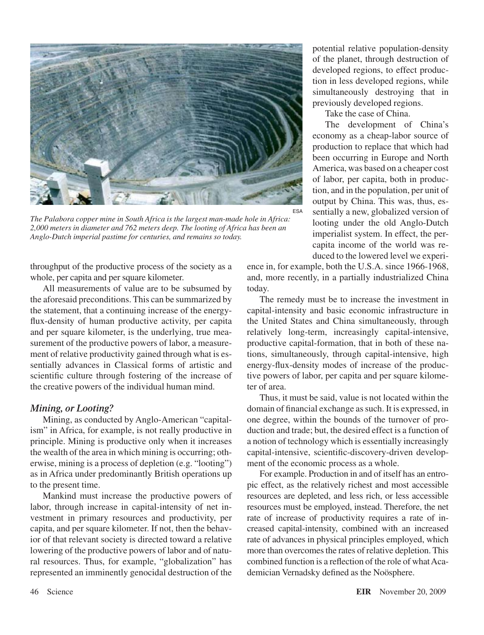

*The Palabora copper mine in South Africa is the largest man-made hole in Africa: 2,000 meters in diameter and 762 meters deep. The looting of Africa has been an Anglo-Dutch imperial pastime for centuries, and remains so today.*

throughput of the productive process of the society as a whole, per capita and per square kilometer.

All measurements of value are to be subsumed by the aforesaid preconditions. This can be summarized by the statement, that a continuing increase of the energyflux-density of human productive activity, per capita and per square kilometer, is the underlying, true measurement of the productive powers of labor, a measurement of relative productivity gained through what is essentially advances in Classical forms of artistic and scientific culture through fostering of the increase of the creative powers of the individual human mind.

#### *Mining, or Looting?*

Mining, as conducted by Anglo-American "capitalism" in Africa, for example, is not really productive in principle. Mining is productive only when it increases the wealth of the area in which mining is occurring; otherwise, mining is a process of depletion (e.g. "looting") as in Africa under predominantly British operations up to the present time.

Mankind must increase the productive powers of labor, through increase in capital-intensity of net investment in primary resources and productivity, per capita, and per square kilometer. If not, then the behavior of that relevant society is directed toward a relative lowering of the productive powers of labor and of natural resources. Thus, for example, "globalization" has represented an imminently genocidal destruction of the

potential relative population-density of the planet, through destruction of developed regions, to effect production in less developed regions, while simultaneously destroying that in previously developed regions.

Take the case of China.

The development of China's economy as a cheap-labor source of production to replace that which had been occurring in Europe and North America, was based on a cheaper cost of labor, per capita, both in production, and in the population, per unit of output by China. This was, thus, essentially a new, globalized version of looting under the old Anglo-Dutch imperialist system. In effect, the percapita income of the world was reduced to the lowered level we experi-

ence in, for example, both the U.S.A. since 1966-1968, and, more recently, in a partially industrialized China today.

The remedy must be to increase the investment in capital-intensity and basic economic infrastructure in the United States and China simultaneously, through relatively long-term, increasingly capital-intensive, productive capital-formation, that in both of these nations, simultaneously, through capital-intensive, high energy-flux-density modes of increase of the productive powers of labor, per capita and per square kilometer of area.

Thus, it must be said, value is not located within the domain of financial exchange as such. It is expressed, in one degree, within the bounds of the turnover of production and trade; but, the desired effect is a function of a notion of technology which is essentially increasingly capital-intensive, scientific-discovery-driven development of the economic process as a whole.

For example. Production in and of itself has an entropic effect, as the relatively richest and most accessible resources are depleted, and less rich, or less accessible resources must be employed, instead. Therefore, the net rate of increase of productivity requires a rate of increased capital-intensity, combined with an increased rate of advances in physical principles employed, which more than overcomes the rates of relative depletion. This combined function is a reflection of the role of what Academician Vernadsky defined as the Noösphere.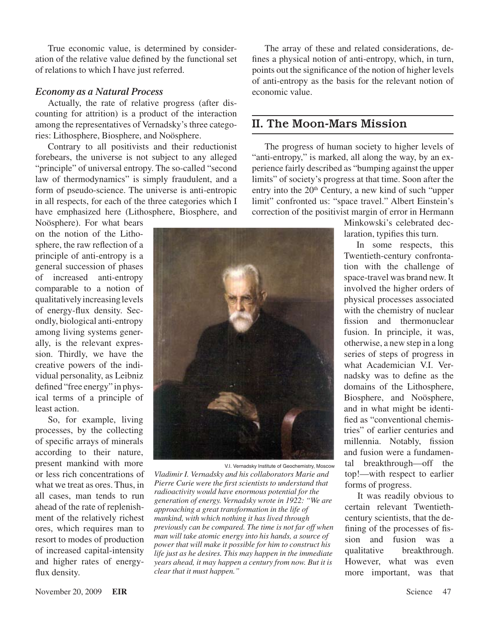True economic value, is determined by consideration of the relative value defined by the functional set of relations to which I have just referred.

#### *Economy as a Natural Process*

Actually, the rate of relative progress (after discounting for attrition) is a product of the interaction among the representatives of Vernadsky's three categories: Lithosphere, Biosphere, and Noösphere.

Contrary to all positivists and their reductionist forebears, the universe is not subject to any alleged "principle" of universal entropy. The so-called "second law of thermodynamics" is simply fraudulent, and a form of pseudo-science. The universe is anti-entropic in all respects, for each of the three categories which I have emphasized here (Lithosphere, Biosphere, and

Noösphere). For what bears on the notion of the Lithosphere, the raw reflection of a principle of anti-entropy is a general succession of phases of increased anti-entropy comparable to a notion of qualitatively increasing levels of energy-flux density. Secondly, biological anti-entropy among living systems generally, is the relevant expression. Thirdly, we have the creative powers of the individual personality, as Leibniz defined "free energy" in physical terms of a principle of least action.

So, for example, living processes, by the collecting of specific arrays of minerals according to their nature, present mankind with more or less rich concentrations of what we treat as ores. Thus, in all cases, man tends to run ahead of the rate of replenishment of the relatively richest ores, which requires man to resort to modes of production of increased capital-intensity and higher rates of energyflux density.

The array of these and related considerations, defines a physical notion of anti-entropy, which, in turn, points out the significance of the notion of higher levels of anti-entropy as the basis for the relevant notion of economic value.

### II. The Moon-Mars Mission

The progress of human society to higher levels of "anti-entropy," is marked, all along the way, by an experience fairly described as "bumping against the upper limits" of society's progress at that time. Soon after the entry into the 20<sup>th</sup> Century, a new kind of such "upper limit" confronted us: "space travel." Albert Einstein's correction of the positivist margin of error in Hermann



V.I. Vernadsky Institute of Geochemistry, Moscow *Vladimir I. Vernadsky and his collaborators Marie and Pierre Curie were the first scientists to understand that radioactivity would have enormous potential for the generation of energy. Vernadsky wrote in 1922: "We are approaching a great transformation in the life of mankind, with which nothing it has lived through previously can be compared. The time is not far off when man will take atomic energy into his hands, a source of power that will make it possible for him to construct his life just as he desires. This may happen in the immediate years ahead, it may happen a century from now. But it is clear that it must happen."*

Minkowski's celebrated declaration, typifies this turn.

In some respects, this Twentieth-century confrontation with the challenge of space-travel was brand new. It involved the higher orders of physical processes associated with the chemistry of nuclear fission and thermonuclear fusion. In principle, it was, otherwise, a new step in a long series of steps of progress in what Academician V.I. Vernadsky was to define as the domains of the Lithosphere, Biosphere, and Noösphere, and in what might be identified as "conventional chemistries" of earlier centuries and millennia. Notably, fission and fusion were a fundamental breakthrough—off the top!—with respect to earlier forms of progress.

It was readily obvious to certain relevant Twentiethcentury scientists, that the defining of the processes of fission and fusion was a qualitative breakthrough. However, what was even more important, was that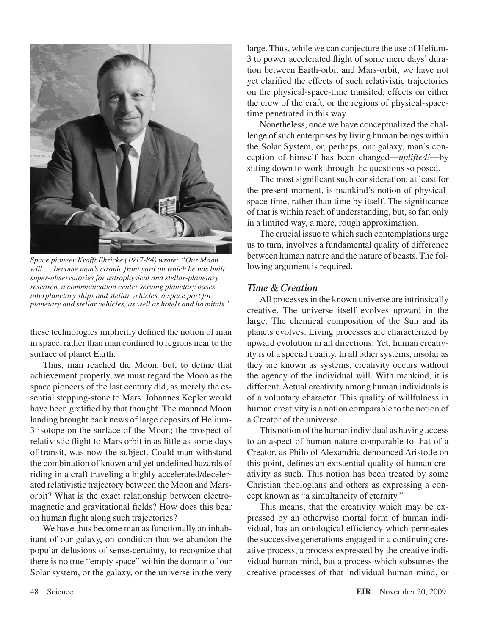

*Space pioneer Krafft Ehricke (1917-84) wrote: "Our Moon will .. . become man's cosmic front yard on which he has built super-observatories for astrophysical and stellar-planetary research, a communication center serving planetary bases, interplanetary ships and stellar vehicles, a space port for planetary and stellar vehicles, as well as hotels and hospitals."*

these technologies implicitly defined the notion of man in space, rather than man confined to regions near to the surface of planet Earth.

Thus, man reached the Moon, but, to define that achievement properly, we must regard the Moon as the space pioneers of the last century did, as merely the essential stepping-stone to Mars. Johannes Kepler would have been gratified by that thought. The manned Moon landing brought back news of large deposits of Helium-3 isotope on the surface of the Moon; the prospect of relativistic flight to Mars orbit in as little as some days of transit, was now the subject. Could man withstand the combination of known and yet undefined hazards of riding in a craft traveling a highly accelerated/decelerated relativistic trajectory between the Moon and Marsorbit? What is the exact relationship between electromagnetic and gravitational fields? How does this bear on human flight along such trajectories?

We have thus become man as functionally an inhabitant of our galaxy, on condition that we abandon the popular delusions of sense-certainty, to recognize that there is no true "empty space" within the domain of our Solar system, or the galaxy, or the universe in the very large. Thus, while we can conjecture the use of Helium-3 to power accelerated flight of some mere days' duration between Earth-orbit and Mars-orbit, we have not yet clarified the effects of such relativistic trajectories on the physical-space-time transited, effects on either the crew of the craft, or the regions of physical-spacetime penetrated in this way.

Nonetheless, once we have conceptualized the challenge of such enterprises by living human beings within the Solar System, or, perhaps, our galaxy, man's conception of himself has been changed—*uplifted!*—by sitting down to work through the questions so posed.

The most significant such consideration, at least for the present moment, is mankind's notion of physicalspace-time, rather than time by itself. The significance of that is within reach of understanding, but, so far, only in a limited way, a mere, rough approximation.

The crucial issue to which such contemplations urge us to turn, involves a fundamental quality of difference between human nature and the nature of beasts. The following argument is required.

#### *Time & Creation*

All processes in the known universe are intrinsically creative. The universe itself evolves upward in the large. The chemical composition of the Sun and its planets evolves. Living processes are characterized by upward evolution in all directions. Yet, human creativity is of a special quality. In all other systems, insofar as they are known as systems, creativity occurs without the agency of the individual will. With mankind, it is different. Actual creativity among human individuals is of a voluntary character. This quality of willfulness in human creativity is a notion comparable to the notion of a Creator of the universe.

This notion of the human individual as having access to an aspect of human nature comparable to that of a Creator, as Philo of Alexandria denounced Aristotle on this point, defines an existential quality of human creativity as such. This notion has been treated by some Christian theologians and others as expressing a concept known as "a simultaneity of eternity."

This means, that the creativity which may be expressed by an otherwise mortal form of human individual, has an ontological efficiency which permeates the successive generations engaged in a continuing creative process, a process expressed by the creative individual human mind, but a process which subsumes the creative processes of that individual human mind, or